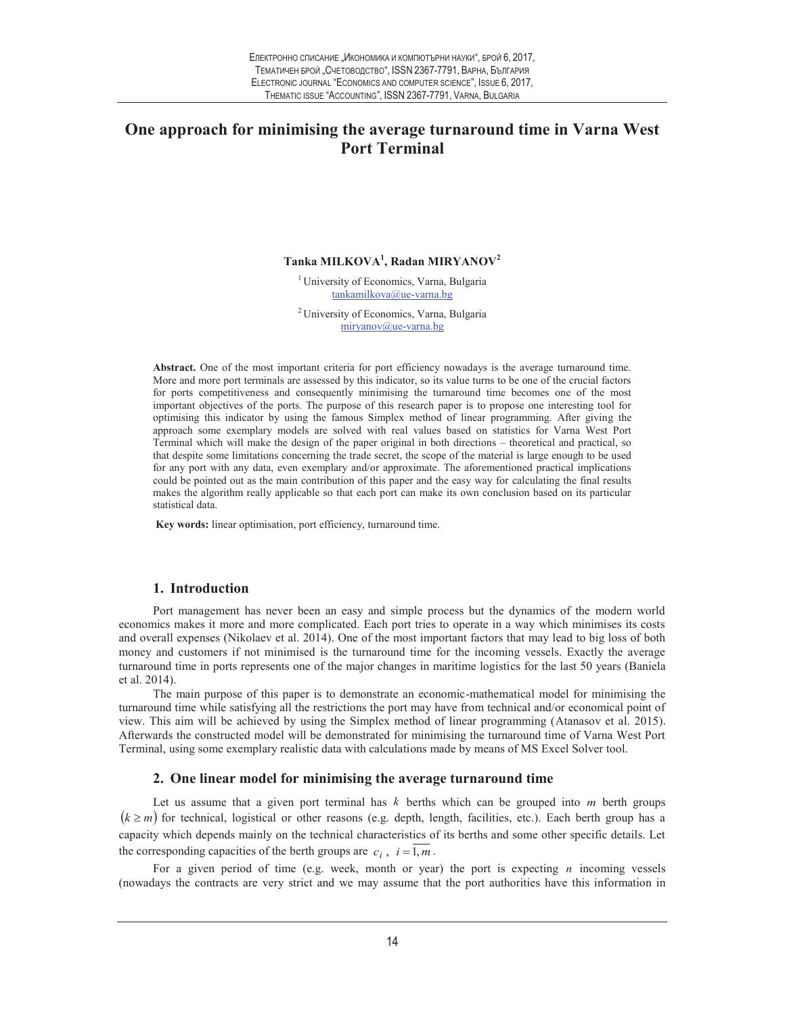# **One approach for minimising the average turnaround time in Varna West Port Terminal**

## **Tanka MILKOVA<sup>1</sup> , Radan MIRYANOV<sup>2</sup>**

<sup>1</sup> University of Economics, Varna, Bulgaria tankamilkova@ue-varna.bg

<sup>2</sup>University of Economics, Varna, Bulgaria miryanov@ue-varna.bg

**Abstract.** One of the most important criteria for port efficiency nowadays is the average turnaround time. More and more port terminals are assessed by this indicator, so its value turns to be one of the crucial factors for ports competitiveness and consequently minimising the turnaround time becomes one of the most important objectives of the ports. The purpose of this research paper is to propose one interesting tool for optimising this indicator by using the famous Simplex method of linear programming. After giving the approach some exemplary models are solved with real values based on statistics for Varna West Port Terminal which will make the design of the paper original in both directions – theoretical and practical, so that despite some limitations concerning the trade secret, the scope of the material is large enough to be used for any port with any data, even exemplary and/or approximate. The aforementioned practical implications could be pointed out as the main contribution of this paper and the easy way for calculating the final results makes the algorithm really applicable so that each port can make its own conclusion based on its particular statistical data.

**Key words:** linear optimisation, port efficiency, turnaround time.

#### **1. Introduction**

Port management has never been an easy and simple process but the dynamics of the modern world economics makes it more and more complicated. Each port tries to operate in a way which minimises its costs and overall expenses (Nikolaev et al. 2014). One of the most important factors that may lead to big loss of both money and customers if not minimised is the turnaround time for the incoming vessels. Exactly the average turnaround time in ports represents one of the major changes in maritime logistics for the last 50 years (Baniela et al. 2014).

The main purpose of this paper is to demonstrate an economic-mathematical model for minimising the turnaround time while satisfying all the restrictions the port may have from technical and/or economical point of view. This aim will be achieved by using the Simplex method of linear programming (Atanasov et al. 2015). Afterwards the constructed model will be demonstrated for minimising the turnaround time of Varna West Port Terminal, using some exemplary realistic data with calculations made by means of MS Excel Solver tool.

## **2. One linear model for minimising the average turnaround time**

Let us assume that a given port terminal has *k* berths which can be grouped into *m* berth groups  $(k \ge m)$  for technical, logistical or other reasons (e.g. depth, length, facilities, etc.). Each berth group has a capacity which depends mainly on the technical characteristics of its berths and some other specific details. Let the corresponding capacities of the berth groups are  $c_i$ ,  $i = 1, m$ .

For a given period of time (e.g. week, month or year) the port is expecting *n* incoming vessels (nowadays the contracts are very strict and we may assume that the port authorities have this information in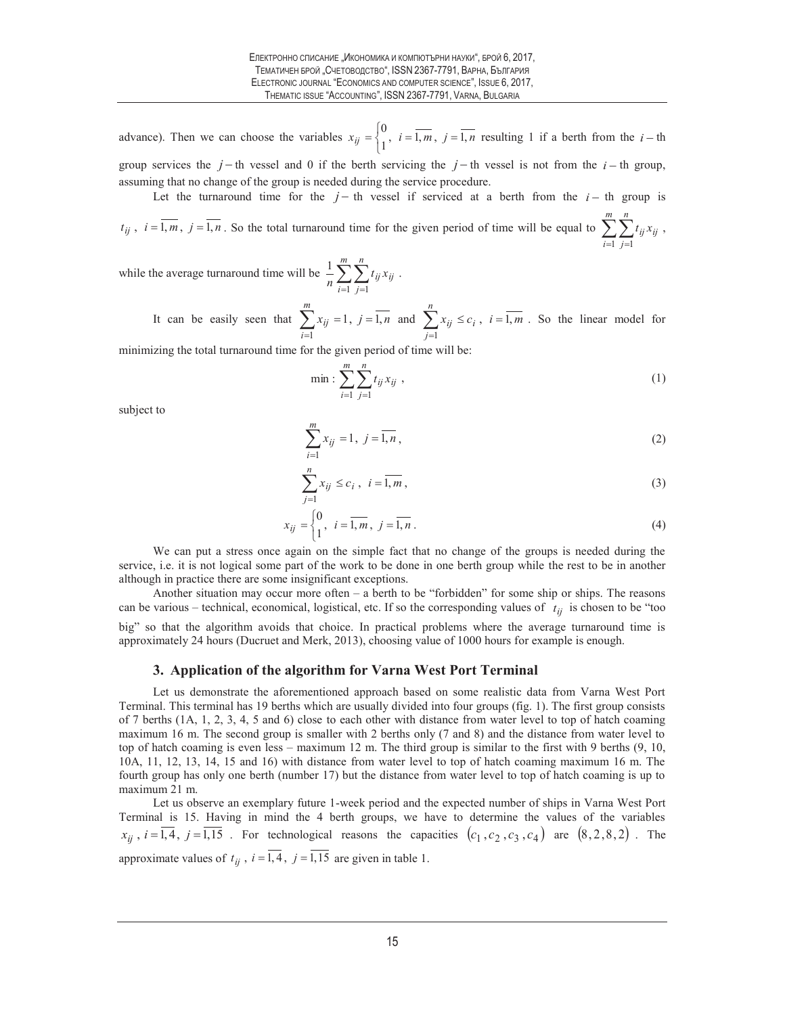advance). Then we can choose the variables  $x_{ij} = \begin{cases} i & i = 1, m, j = 1, n \end{cases}$  $\frac{0}{i}, i = \overline{1, m}, j =$  $=\begin{cases} 0 \\ 1 \end{cases}$ ,  $i = \overline{1, m}$ ,  $j = \overline{1, n}$  resulting 1 if a berth from the  $i -$ th

group services the  $j$  - th vessel and 0 if the berth servicing the  $j$  - th vessel is not from the  $i$  - th group, assuming that no change of the group is needed during the service procedure.

Let the turnaround time for the  $j - th$  vessel if serviced at a berth from the  $i - th$  group is  $t_{ij}$ ,  $i = \overline{1, m}$ ,  $j = \overline{1, n}$ . So the total turnaround time for the given period of time will be equal to  $\sum_{i=1}^{n} \sum_{j=1}^{n}$ *m i n j*  $t_{ij}$  $x_{ij}$  $1 \, j=1$ ,

while the average turnaround time will be  $\frac{1}{n} \sum_{i=1}^n \sum_{j=1}$ *m i n j*  $\frac{1}{n}\sum_{i=1}^n\sum_{j=1}^t t_{ij}x_{ij}$  $\frac{1}{2} \sum_{i=1}^{m} \sum_{i=1}^{n} t_{ii} x_{ii}$ .

> It can be easily seen that  $\sum x_{ij} = 1, j = 1, n$ *m i*  $_{ij}$  = 1,  $j$  = 1,  $\sum_{i=1} x_{ij} = 1, j =$ and  $\sum x_{ij} \leq c_i$ ,  $i = 1, m$ *n j*  $_{ij} \leq c_i$ ,  $i=1$ ,  $\sum_{j=1} x_{ij} \leq c_i$ ,  $i =$ . So the linear model for

minimizing the total turnaround time for the given period of time will be:

$$
\min : \sum_{i=1}^{m} \sum_{j=1}^{n} t_{ij} x_{ij} , \qquad (1)
$$

subject to

$$
\sum_{i=1}^{m} x_{ij} = 1, \ j = \overline{1, n}, \tag{2}
$$

$$
\sum_{j=1}^{n} x_{ij} \le c_i, \quad i = \overline{1, m}, \tag{3}
$$

$$
x_{ij} = \begin{cases} 0, & i = \overline{1, m}, j = \overline{1, n}. \end{cases}
$$
 (4)

We can put a stress once again on the simple fact that no change of the groups is needed during the service, i.e. it is not logical some part of the work to be done in one berth group while the rest to be in another although in practice there are some insignificant exceptions.

Another situation may occur more often – a berth to be "forbidden" for some ship or ships. The reasons can be various – technical, economical, logistical, etc. If so the corresponding values of  $t_{ij}$  is chosen to be "too big" so that the algorithm avoids that choice. In practical problems where the average turnaround time is approximately 24 hours (Ducruet and Merk, 2013), choosing value of 1000 hours for example is enough.

### **3. Application of the algorithm for Varna West Port Terminal**

Let us demonstrate the aforementioned approach based on some realistic data from Varna West Port Terminal. This terminal has 19 berths which are usually divided into four groups (fig. 1). The first group consists of 7 berths  $(1A, 1, 2, 3, 4, 5, 4, 6)$  close to each other with distance from water level to top of hatch coaming maximum 16 m. The second group is smaller with 2 berths only (7 and 8) and the distance from water level to top of hatch coaming is even less – maximum 12 m. The third group is similar to the first with 9 berths (9, 10, 10A, 11, 12, 13, 14, 15 and 16) with distance from water level to top of hatch coaming maximum 16 m. The fourth group has only one berth (number 17) but the distance from water level to top of hatch coaming is up to maximum 21 m.

Let us observe an exemplary future 1-week period and the expected number of ships in Varna West Port Terminal is 15. Having in mind the 4 berth groups, we have to determine the values of the variables  $x_{ij}$ ,  $i = \overline{1,4}$ ,  $j = \overline{1,15}$ . For technological reasons the capacities  $(c_1, c_2, c_3, c_4)$  are  $(8, 2, 8, 2)$ . The approximate values of  $t_{ij}$ ,  $i = \overline{1,4}$ ,  $j = \overline{1,15}$  are given in table 1.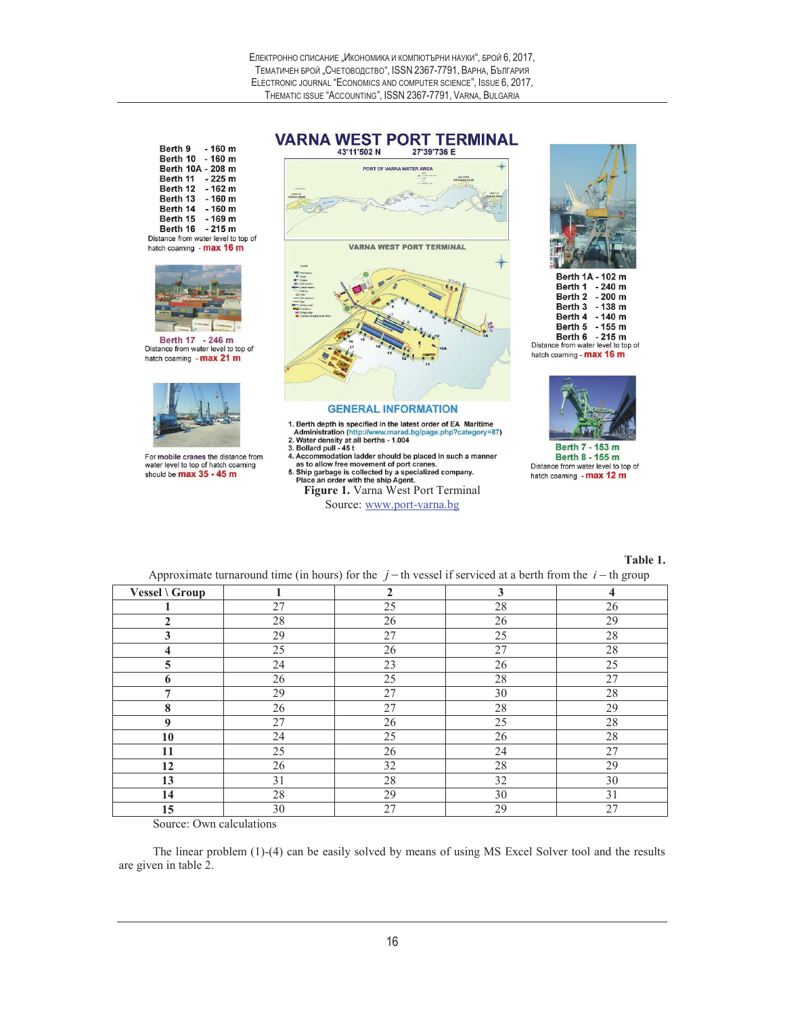**VARNA WEST PORT TERMINAL** 

|  | Berth 9 - 160 m                     |  |
|--|-------------------------------------|--|
|  | Berth 10 - 160 m                    |  |
|  | Berth 10A - 208 m                   |  |
|  | Berth 11 - 225 m                    |  |
|  | Berth 12 - 162 m                    |  |
|  | Berth 13 - 160 m                    |  |
|  | Berth 14 - 160 m                    |  |
|  | Berth 15 - 169 m                    |  |
|  | Berth 16 - 215 m                    |  |
|  | Distance from water level to top of |  |
|  | hatch coaming - max 16 m            |  |



Berth 17 - 246 m<br>Distance from water level to top of hatch coaming - max 21 m



For mobile cranes the distance from water level to top of hatch coaming should be max 35 - 45 m



**Figure 1.** Specified in the latest order of EA Maritime<br>
2. Water density at all betths -1.004<br>
2. Water density at all betths -1.004<br>
3. Eoliard pull - 45 t<br>
4. Accommodation ladder should be placed in such a manner<br>
as rad.bg/page.php?category=87)

- 
- 
- Source: www.port-varna.bg



Berth 1A - 102 m Berth 1 - 240 m Berth 2 - 200 m Berth 3 - 138 m Berth 4 - 140 m Berth 5 - 155 m<br>Berth 6 - 215 m<br>Distance from water level to top of hatch coaming - max 16 m



Berth 8 - 155 m Distance from water level to top of hatch coaming - max 12 m

**Table 1.** 

Approximate turnaround time (in hours) for the  $j - th$  vessel if serviced at a berth from the  $i - th$  group

| . .            |    | $\tilde{\phantom{a}}$ |              | $\tilde{}$<br>$\sim$    |
|----------------|----|-----------------------|--------------|-------------------------|
| Vessel \ Group | 1  | $\overline{2}$        | $\mathbf{3}$ | $\overline{\mathbf{4}}$ |
|                | 27 | 25                    | 28           | 26                      |
| $\mathbf{2}$   | 28 | 26                    | 26           | 29                      |
| 3              | 29 | 27                    | 25           | 28                      |
| 4              | 25 | 26                    | 27           | 28                      |
| $\overline{5}$ | 24 | 23                    | 26           | 25                      |
| 6              | 26 | 25                    | 28           | 27                      |
| 7              | 29 | 27                    | 30           | 28                      |
| 8              | 26 | 27                    | 28           | 29                      |
| 9              | 27 | 26                    | 25           | 28                      |
| 10             | 24 | 25                    | 26           | 28                      |
| 11             | 25 | 26                    | 24           | 27                      |
| 12             | 26 | 32                    | 28           | 29                      |
| 13             | 31 | 28                    | 32           | 30                      |
| 14             | 28 | 29                    | 30           | 31                      |
| 15             | 30 | 27                    | 29           | 27                      |

Source: Own calculations

The linear problem (1)-(4) can be easily solved by means of using MS Excel Solver tool and the results are given in table 2.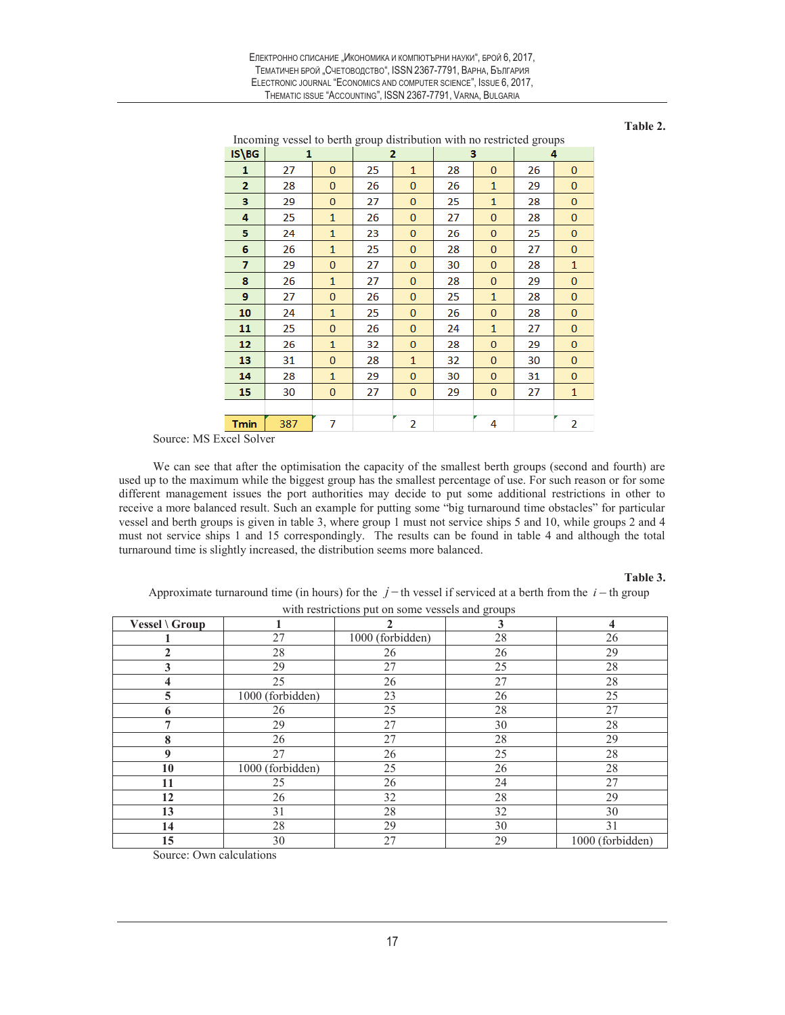| Електронно списание "Икономика и компютърни науки", брой 6, 2017.   |
|---------------------------------------------------------------------|
| ТЕМАТИЧЕН БРОЙ "СЧЕТОВОДСТВО", ISSN 2367-7791, ВАРНА, БЪЛГАРИЯ      |
| ELECTRONIC JOURNAL "ECONOMICS AND COMPUTER SCIENCE". ISSUE 6, 2017. |
| THEMATIC ISSUE "ACCOUNTING". ISSN 2367-7791. VARNA. BULGARIA        |

**Table 2.** 

|                | Incoming vessel to berth group distribution with no restricted groups |              |    |              |    |              |    |              |
|----------------|-----------------------------------------------------------------------|--------------|----|--------------|----|--------------|----|--------------|
| IS\BG          | 1                                                                     |              |    | 2            | 3  |              | д  |              |
| $\mathbf{1}$   | 27                                                                    | $\mathbf{0}$ | 25 | $\mathbf{1}$ | 28 | $\mathbf{0}$ | 26 | $\mathbf{0}$ |
| $\overline{2}$ | 28                                                                    | $\mathbf{0}$ | 26 | $\mathbf{0}$ | 26 | $\mathbf{1}$ | 29 | $\mathbf{0}$ |
| з              | 29                                                                    | $\mathbf{0}$ | 27 | $\mathbf{0}$ | 25 | $\mathbf{1}$ | 28 | $\mathbf{0}$ |
| 4              | 25                                                                    | $\mathbf{1}$ | 26 | $\mathbf{0}$ | 27 | $\bf{0}$     | 28 | $\mathbf{0}$ |
| 5              | 24                                                                    | $\mathbf{1}$ | 23 | $\mathbf{0}$ | 26 | $\bf{0}$     | 25 | $\mathbf{0}$ |
| 6              | 26                                                                    | $\mathbf{1}$ | 25 | $\mathbf{0}$ | 28 | $\bf{0}$     | 27 | $\bf{0}$     |
| 7              | 29                                                                    | $\mathbf{0}$ | 27 | $\mathbf{0}$ | 30 | $\mathbf{0}$ | 28 | $\mathbf{1}$ |
| 8              | 26                                                                    | $\mathbf{1}$ | 27 | $\mathbf{0}$ | 28 | $\bf{0}$     | 29 | $\mathbf{0}$ |
| 9              | 27                                                                    | $\mathbf{0}$ | 26 | $\mathbf{0}$ | 25 | $\mathbf{1}$ | 28 | $\mathbf{0}$ |
| 10             | 24                                                                    | $\mathbf{1}$ | 25 | $\mathbf{0}$ | 26 | $\bf{0}$     | 28 | $\mathbf 0$  |
| 11             | 25                                                                    | $\mathbf{0}$ | 26 | $\mathbf{0}$ | 24 | $\mathbf{1}$ | 27 | $\mathbf 0$  |
| 12             | 26                                                                    | $\mathbf{1}$ | 32 | $\mathbf{0}$ | 28 | $\bf{0}$     | 29 | $\mathbf 0$  |
| 13             | 31                                                                    | $\mathbf{0}$ | 28 | $\mathbf{1}$ | 32 | $\bf{0}$     | 30 | $\mathbf 0$  |
| 14             | 28                                                                    | $\mathbf{1}$ | 29 | $\mathbf{0}$ | 30 | $\bf{0}$     | 31 | $\mathbf{0}$ |
| 15             | 30                                                                    | 0            | 27 | $\bf{0}$     | 29 | $\bf{0}$     | 27 | $\mathbf{1}$ |
|                |                                                                       |              |    |              |    |              |    |              |
| <b>Tmin</b>    | 387                                                                   | 7            |    | 2            |    | 4            |    | 2            |

Source: MS Excel Solver

We can see that after the optimisation the capacity of the smallest berth groups (second and fourth) are used up to the maximum while the biggest group has the smallest percentage of use. For such reason or for some different management issues the port authorities may decide to put some additional restrictions in other to receive a more balanced result. Such an example for putting some "big turnaround time obstacles" for particular vessel and berth groups is given in table 3, where group 1 must not service ships 5 and 10, while groups 2 and 4 must not service ships 1 and 15 correspondingly. The results can be found in table 4 and although the total turnaround time is slightly increased, the distribution seems more balanced.

## **Table 3.**

Approximate turnaround time (in hours) for the  $j$  - th vessel if serviced at a berth from the  $i$  - th group

| with restrictions put on some vessels and groups |                  |                  |    |                  |  |  |  |
|--------------------------------------------------|------------------|------------------|----|------------------|--|--|--|
| <b>Vessel</b> \ $Group$                          |                  |                  | 3  | 4                |  |  |  |
|                                                  | 27               | 1000 (forbidden) | 28 | 26               |  |  |  |
| $\mathbf{2}$                                     | 28               | 26               | 26 | 29               |  |  |  |
| 3                                                | 29               | 27               | 25 | 28               |  |  |  |
| 4                                                | 25               | 26               | 27 | 28               |  |  |  |
| 5                                                | 1000 (forbidden) | 23               | 26 | 25               |  |  |  |
| 6                                                | 26               | 25               | 28 | 27               |  |  |  |
| 7                                                | 29               | 27               | 30 | 28               |  |  |  |
| 8                                                | 26               | 27               | 28 | 29               |  |  |  |
| 9                                                | 27               | 26               | 25 | 28               |  |  |  |
| 10                                               | 1000 (forbidden) | 25               | 26 | 28               |  |  |  |
| 11                                               | 25               | 26               | 24 | 27               |  |  |  |
| 12                                               | 26               | 32               | 28 | 29               |  |  |  |
| 13                                               | 31               | 28               | 32 | 30               |  |  |  |
| 14                                               | 28               | 29               | 30 | 31               |  |  |  |
| 15                                               | 30               | 27               | 29 | 1000 (forbidden) |  |  |  |

Source: Own calculations